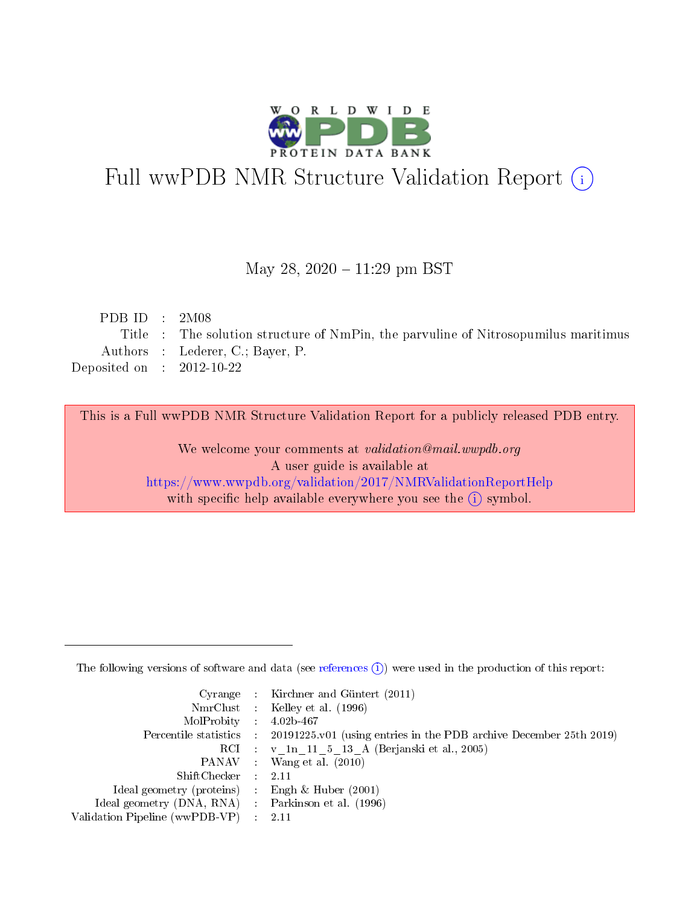

# Full wwPDB NMR Structure Validation Report (i)

#### May 28, 2020 - 11:29 pm BST

| PDB ID : $2M08$             |                                                                                    |
|-----------------------------|------------------------------------------------------------------------------------|
|                             | Title : The solution structure of NmPin, the parvuline of Nitrosopumilus maritimus |
|                             | Authors : Lederer, C.; Bayer, P.                                                   |
| Deposited on : $2012-10-22$ |                                                                                    |
|                             |                                                                                    |

This is a Full wwPDB NMR Structure Validation Report for a publicly released PDB entry.

We welcome your comments at *validation@mail.wwpdb.org* A user guide is available at <https://www.wwpdb.org/validation/2017/NMRValidationReportHelp> with specific help available everywhere you see the  $(i)$  symbol.

The following versions of software and data (see [references](https://www.wwpdb.org/validation/2017/NMRValidationReportHelp#references)  $(1)$ ) were used in the production of this report:

|                                                     | Cyrange : Kirchner and Güntert $(2011)$                                                    |
|-----------------------------------------------------|--------------------------------------------------------------------------------------------|
|                                                     | NmrClust : Kelley et al. (1996)                                                            |
| $MolProbability$ 4.02b-467                          |                                                                                            |
|                                                     | Percentile statistics : 20191225.v01 (using entries in the PDB archive December 25th 2019) |
|                                                     | RCI : v 1n 11 5 13 A (Berjanski et al., 2005)                                              |
|                                                     | PANAV Wang et al. (2010)                                                                   |
| $ShiftChecker$ 2.11                                 |                                                                                            |
| Ideal geometry (proteins) : Engh $\&$ Huber (2001)  |                                                                                            |
| Ideal geometry (DNA, RNA) : Parkinson et al. (1996) |                                                                                            |
| Validation Pipeline (wwPDB-VP)                      | $\sim 2.11$                                                                                |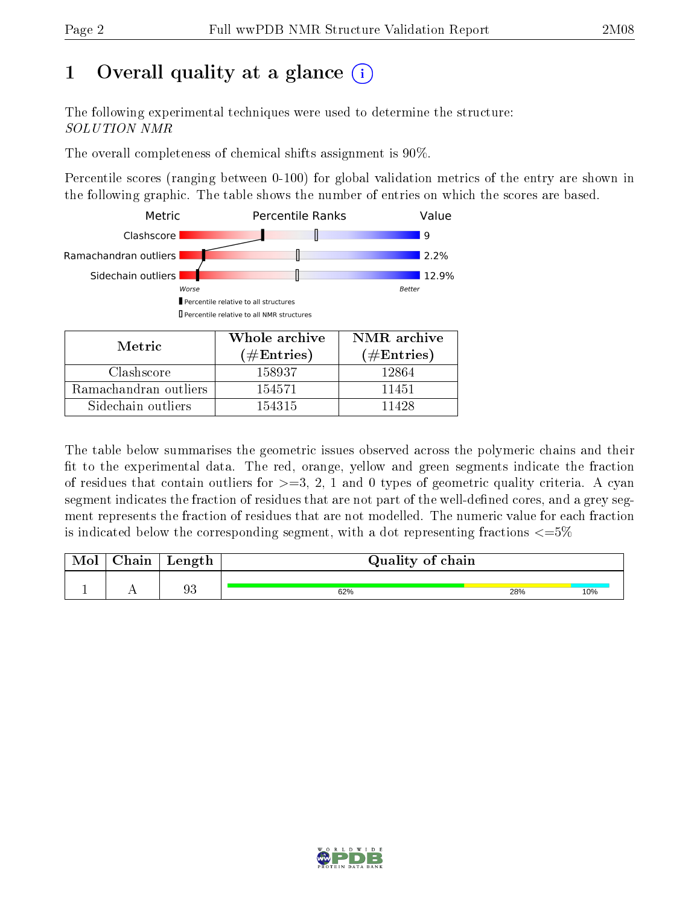# 1 [O](https://www.wwpdb.org/validation/2017/NMRValidationReportHelp#overall_quality)verall quality at a glance  $(i)$

The following experimental techniques were used to determine the structure: SOLUTION NMR

The overall completeness of chemical shifts assignment is 90%.

Percentile scores (ranging between 0-100) for global validation metrics of the entry are shown in the following graphic. The table shows the number of entries on which the scores are based.



| Nietric.              | (# $\rm{Entries}$ ) | $(\#Entries)$ |
|-----------------------|---------------------|---------------|
| Clashscore            | 158937              | 12864         |
| Ramachandran outliers | 154571              | 11451         |
| Sidechain outliers    | 154315              | 11498         |

The table below summarises the geometric issues observed across the polymeric chains and their fit to the experimental data. The red, orange, yellow and green segments indicate the fraction of residues that contain outliers for  $>=3, 2, 1$  and 0 types of geometric quality criteria. A cyan segment indicates the fraction of residues that are not part of the well-defined cores, and a grey segment represents the fraction of residues that are not modelled. The numeric value for each fraction is indicated below the corresponding segment, with a dot representing fractions  $\epsilon = 5\%$ 

| Mol | ${\bf Chain}$ | Length | Quality of chain |     |     |
|-----|---------------|--------|------------------|-----|-----|
|     |               | 93     | 62%              | 28% | 10% |

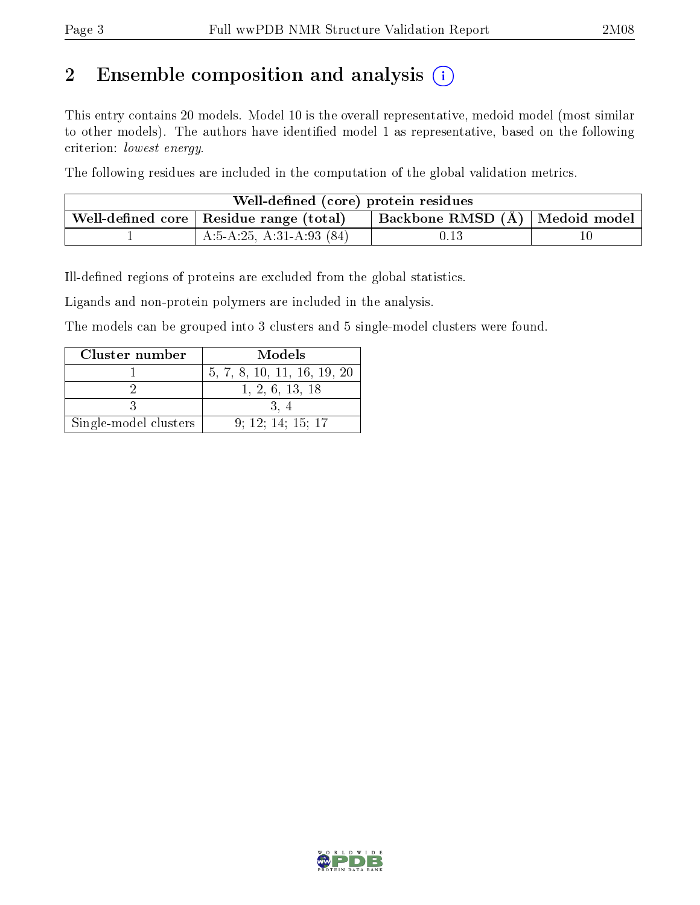# 2 Ensemble composition and analysis  $(i)$

This entry contains 20 models. Model 10 is the overall representative, medoid model (most similar to other models). The authors have identified model 1 as representative, based on the following criterion: lowest energy.

The following residues are included in the computation of the global validation metrics.

| Well-defined (core) protein residues                                                 |                            |      |  |  |  |  |
|--------------------------------------------------------------------------------------|----------------------------|------|--|--|--|--|
| Backbone RMSD (Å)   Medoid model  <br>Well-defined core $\mid$ Residue range (total) |                            |      |  |  |  |  |
|                                                                                      | A:5-A:25, A:31-A:93 $(84)$ | 0.13 |  |  |  |  |

Ill-defined regions of proteins are excluded from the global statistics.

Ligands and non-protein polymers are included in the analysis.

The models can be grouped into 3 clusters and 5 single-model clusters were found.

| Cluster number        | Models                      |
|-----------------------|-----------------------------|
|                       | 5, 7, 8, 10, 11, 16, 19, 20 |
|                       | 1, 2, 6, 13, 18             |
|                       |                             |
| Single-model clusters | 9; 12; 14; 15; 17           |

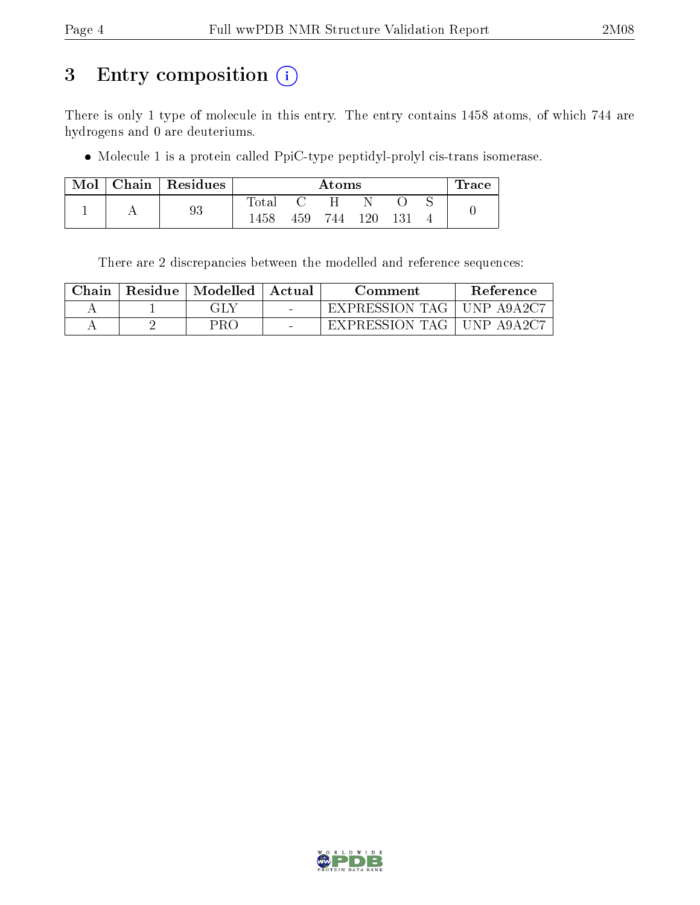# 3 Entry composition (i)

There is only 1 type of molecule in this entry. The entry contains 1458 atoms, of which 744 are hydrogens and 0 are deuteriums.

Molecule 1 is a protein called PpiC-type peptidyl-prolyl cis-trans isomerase.

| Mol | Chain   Residues |              | $\rm{Atoms}$ |     |      |     |  | Trace |
|-----|------------------|--------------|--------------|-----|------|-----|--|-------|
|     |                  | ${\rm Iota}$ |              |     |      |     |  |       |
|     | 93               | 1458         | 459          | 744 | 120. | 131 |  |       |

There are 2 discrepancies between the modelled and reference sequences:

| ${\rm Chain}$ | Residue | Modelled | Actual | Comment        | <b>Reference</b> |
|---------------|---------|----------|--------|----------------|------------------|
|               |         |          | $\sim$ | EXPRESSION TAG | ' UNP A9A2C7 .   |
|               |         | 7KC      | $\sim$ | EXPRESSION TAG | ' UNP A9A2C7     |

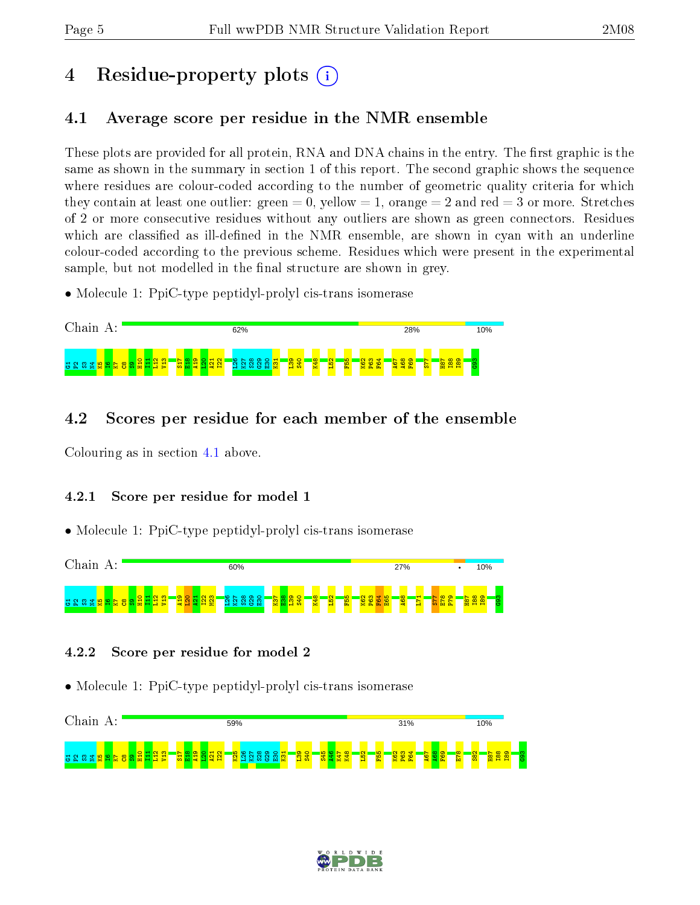# 4 Residue-property plots  $\binom{1}{1}$

# <span id="page-4-0"></span>4.1 Average score per residue in the NMR ensemble

These plots are provided for all protein, RNA and DNA chains in the entry. The first graphic is the same as shown in the summary in section 1 of this report. The second graphic shows the sequence where residues are colour-coded according to the number of geometric quality criteria for which they contain at least one outlier: green  $= 0$ , yellow  $= 1$ , orange  $= 2$  and red  $= 3$  or more. Stretches of 2 or more consecutive residues without any outliers are shown as green connectors. Residues which are classified as ill-defined in the NMR ensemble, are shown in cyan with an underline colour-coded according to the previous scheme. Residues which were present in the experimental sample, but not modelled in the final structure are shown in grey.

• Molecule 1: PpiC-type peptidyl-prolyl cis-trans isomerase



## 4.2 Scores per residue for each member of the ensemble

Colouring as in section [4.1](#page-4-0) above.

#### 4.2.1 Score per residue for model 1

• Molecule 1: PpiC-type peptidyl-prolyl cis-trans isomerase



#### 4.2.2 Score per residue for model 2



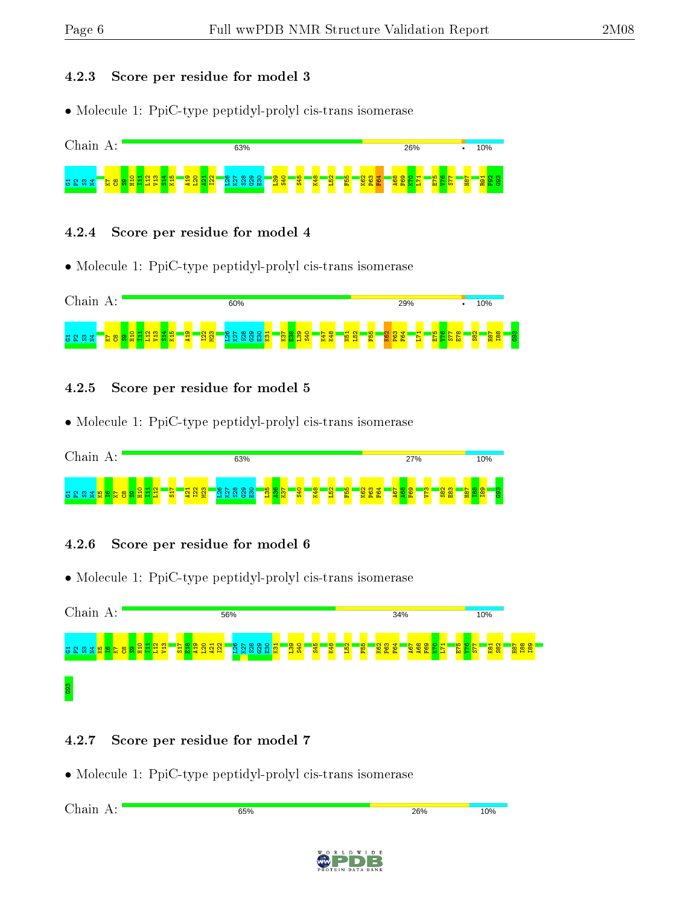#### 4.2.3 Score per residue for model 3

• Molecule 1: PpiC-type peptidyl-prolyl cis-trans isomerase



#### 4.2.4 Score per residue for model 4

• Molecule 1: PpiC-type peptidyl-prolyl cis-trans isomerase



#### 4.2.5 Score per residue for model 5

• Molecule 1: PpiC-type peptidyl-prolyl cis-trans isomerase



#### 4.2.6 Score per residue for model 6

• Molecule 1: PpiC-type peptidyl-prolyl cis-trans isomerase



#### 4.2.7 Score per residue for model 7

• Molecule 1: PpiC-type peptidyl-prolyl cis-trans isomerase

Chain A:65% 26% 10%

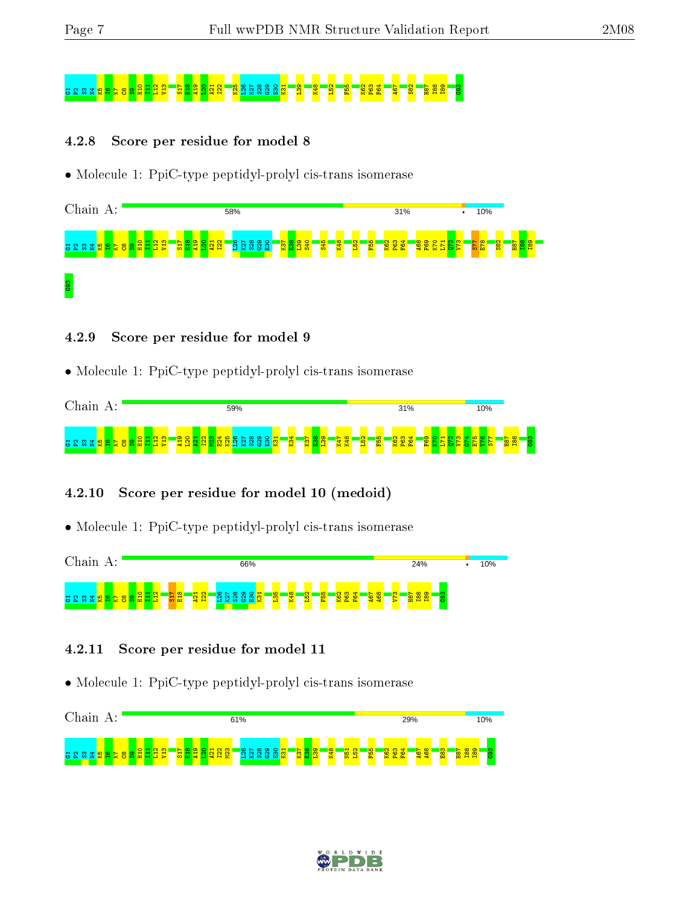# G1P2S3N4K5I6K7C8S9H10 I11 L12 V13 S17 E18 A19 L20 A21 I22 K25 L26 K27 S28 G29 E30 K31 L39 K48 L52 F55 K62 P63 F64 A67 S82 H87 I88 I89 G93

#### 4.2.8 Score per residue for model 8

• Molecule 1: PpiC-type peptidyl-prolyl cis-trans isomerase



#### 4.2.9 Score per residue for model 9

• Molecule 1: PpiC-type peptidyl-prolyl cis-trans isomerase



#### 4.2.10 Score per residue for model 10 (medoid)

• Molecule 1: PpiC-type peptidyl-prolyl cis-trans isomerase



#### 4.2.11 Score per residue for model 11



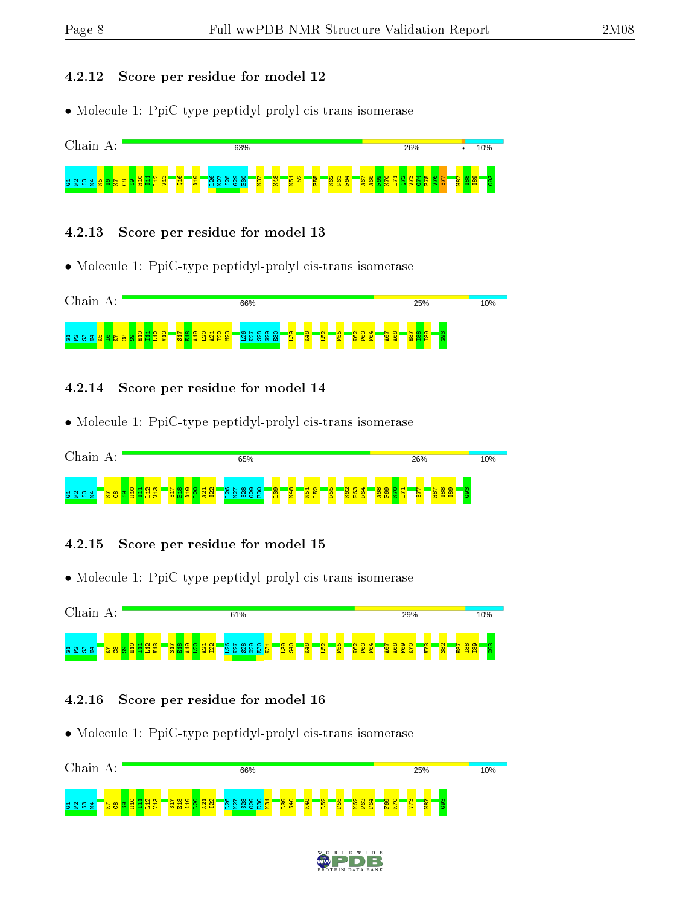#### 4.2.12 Score per residue for model 12

• Molecule 1: PpiC-type peptidyl-prolyl cis-trans isomerase



#### 4.2.13 Score per residue for model 13

• Molecule 1: PpiC-type peptidyl-prolyl cis-trans isomerase



#### 4.2.14 Score per residue for model 14

• Molecule 1: PpiC-type peptidyl-prolyl cis-trans isomerase



#### 4.2.15 Score per residue for model 15

• Molecule 1: PpiC-type peptidyl-prolyl cis-trans isomerase



#### 4.2.16 Score per residue for model 16



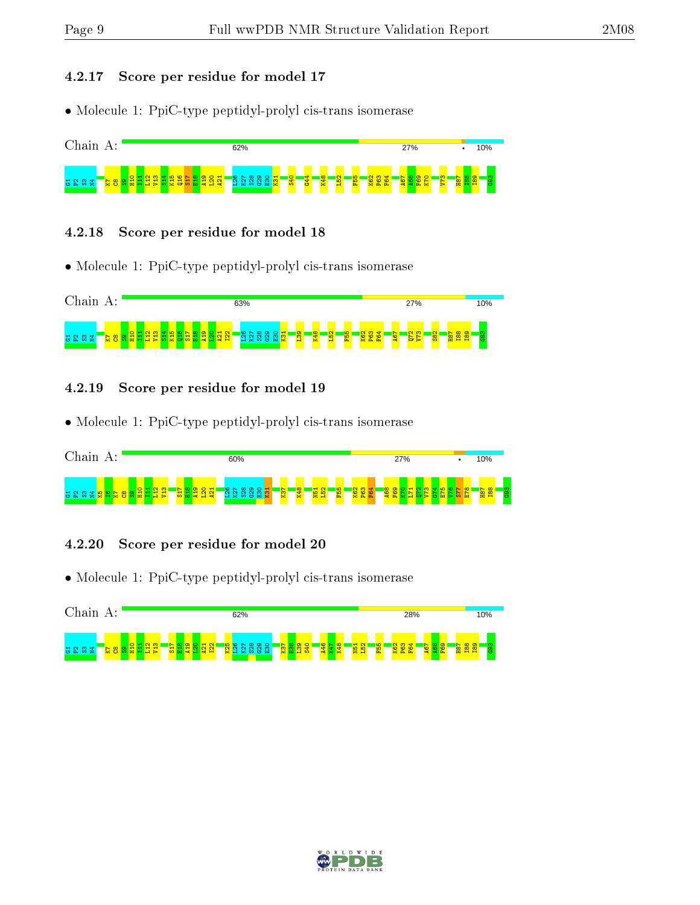#### 4.2.17 Score per residue for model 17

• Molecule 1: PpiC-type peptidyl-prolyl cis-trans isomerase



#### 4.2.18 Score per residue for model 18

• Molecule 1: PpiC-type peptidyl-prolyl cis-trans isomerase



#### 4.2.19 Score per residue for model 19

• Molecule 1: PpiC-type peptidyl-prolyl cis-trans isomerase



#### 4.2.20 Score per residue for model 20



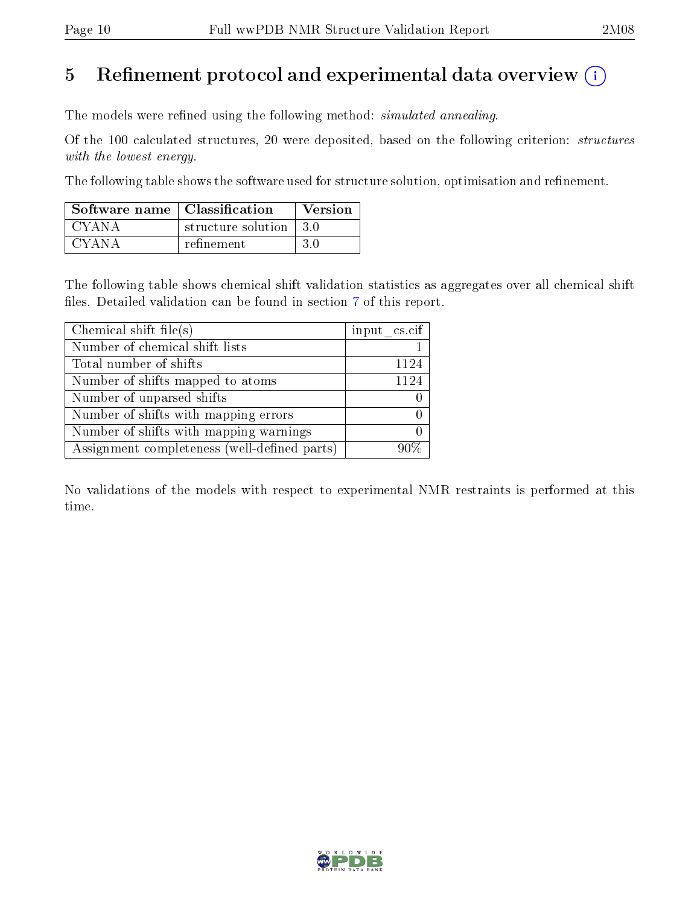# 5 Refinement protocol and experimental data overview  $\binom{1}{k}$

The models were refined using the following method: *simulated annealing*.

Of the 100 calculated structures, 20 were deposited, based on the following criterion: structures with the lowest energy.

The following table shows the software used for structure solution, optimisation and refinement.

| Software name   Classification |                          | Version |
|--------------------------------|--------------------------|---------|
| CYANA                          | structure solution   3.0 |         |
| CYANA                          | refinement               | -3.0    |

The following table shows chemical shift validation statistics as aggregates over all chemical shift files. Detailed validation can be found in section [7](#page-14-0) of this report.

| Chemical shift file(s)                       | input cs.cif |
|----------------------------------------------|--------------|
| Number of chemical shift lists               |              |
| Total number of shifts                       | 1124         |
| Number of shifts mapped to atoms             | 1124         |
| Number of unparsed shifts                    |              |
| Number of shifts with mapping errors         |              |
| Number of shifts with mapping warnings       |              |
| Assignment completeness (well-defined parts) |              |

No validations of the models with respect to experimental NMR restraints is performed at this time.

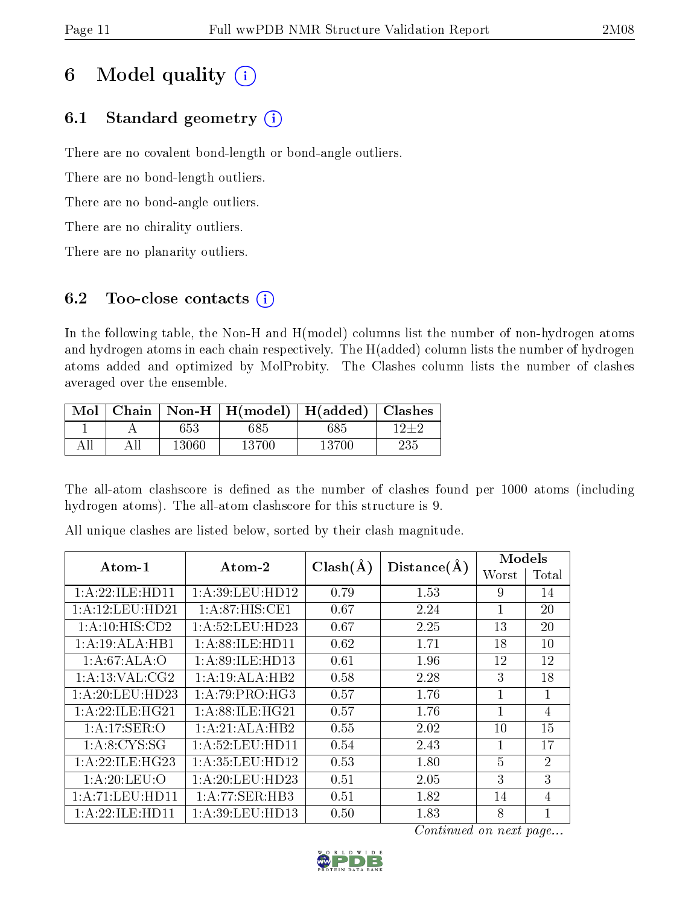# 6 Model quality  $(i)$

# 6.1 Standard geometry  $(i)$

There are no covalent bond-length or bond-angle outliers.

There are no bond-length outliers.

There are no bond-angle outliers.

There are no chirality outliers.

There are no planarity outliers.

# 6.2 Too-close contacts  $(i)$

In the following table, the Non-H and H(model) columns list the number of non-hydrogen atoms and hydrogen atoms in each chain respectively. The H(added) column lists the number of hydrogen atoms added and optimized by MolProbity. The Clashes column lists the number of clashes averaged over the ensemble.

| Mol |       | Chain   Non-H   H(model)   H(added)   Clashes |       |     |
|-----|-------|-----------------------------------------------|-------|-----|
|     | 653   | 585.                                          | 685   |     |
|     | 13060 | 13700                                         | 13700 | 235 |

The all-atom clashscore is defined as the number of clashes found per 1000 atoms (including hydrogen atoms). The all-atom clashscore for this structure is 9.

| Atom-1              | Atom-2             | $Clash(\AA)$ | Distance(A) | Models         |                |  |
|---------------------|--------------------|--------------|-------------|----------------|----------------|--|
|                     |                    |              |             | Worst          | Total          |  |
| 1: A:22: ILE: HD11  | 1:A:39:LEU:HD12    | 0.79         | 1.53        | 9              | 14             |  |
| 1: A: 12: LEU: HD21 | 1:A:87:HIS:CE1     | 0.67         | 2.24        |                | 20             |  |
| 1:A:10:HIS:CD2      | 1: A:52:LEU:HD23   | 0.67         | 2.25        | 13             | 20             |  |
| 1:A:19:ALA:HB1      | 1: A:88: ILE: HD11 | 0.62         | 1.71        | 18             | 10             |  |
| 1:A:67:ALA:O        | 1: A:89: ILE: HD13 | 0.61         | 1.96        | 12             | 12             |  |
| 1: A:13: VAL: CG2   | 1:A:19:ALA:HB2     | 0.58         | 2.28        | 3              | 18             |  |
| 1:A:20:LEU:HD23     | 1:A:79:PRO:HG3     | 0.57         | 1.76        | 1              | $\mathbf{1}$   |  |
| 1: A:22: ILE: HG21  | 1: A:88: ILE: HG21 | 0.57         | 1.76        | 1              | 4              |  |
| 1:A:17:SER:O        | 1:A:21:ALA:HB2     | 0.55         | 2.02        | 10             | 15             |  |
| 1: A:8:CYS:SG       | 1: A:52:LEU:HD11   | 0.54         | 2.43        | 1              | 17             |  |
| 1: A:22: ILE: HG23  | 1:A:35:LEU:HD12    | 0.53         | 1.80        | $\overline{5}$ | $\overline{2}$ |  |
| 1:A:20:LEU:O        | 1: A:20:LEU:HD23   | 0.51         | 2.05        | 3              | 3              |  |
| 1:A:71:LEU:HDI1     | 1:A:77:SER:HB3     | 0.51         | 1.82        | 14             | $\overline{4}$ |  |
| 1:A:22:ILE:HD11     | 1: A:39: LEU: HD13 | 0.50         | 1.83        | 8              | 1              |  |

All unique clashes are listed below, sorted by their clash magnitude.

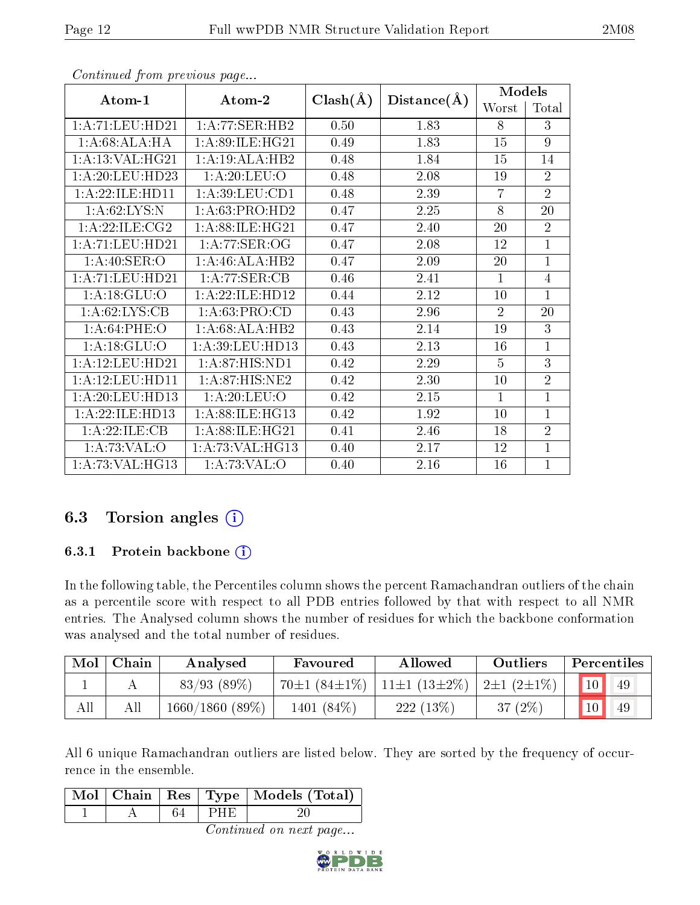| $Atom-1$                   | $\boldsymbol{\mathrm{Atom}\text{-}2}$ | $Clash(\AA)$ | Distance(A) | Models         |                |
|----------------------------|---------------------------------------|--------------|-------------|----------------|----------------|
|                            |                                       |              |             | Worst          | Total          |
| 1:A:71:LEU:HD21            | 1:A:77:SER:HB2                        | 0.50         | 1.83        | 8              | 3              |
| 1:A:68:ALA:HA              | 1: A:89: ILE: HG21                    | 0.49         | 1.83        | 15             | 9              |
| 1: A:13: VAL:HG21          | 1:A:19:ALA:HB2                        | 0.48         | 1.84        | 15             | 14             |
| 1:A:20:LEU:HD23            | 1: A:20: LEU:O                        | 0.48         | 2.08        | 19             | $\overline{2}$ |
| 1: A:22: ILE:HD11          | 1: A:39:LEU:CD1                       | 0.48         | 2.39        | $\overline{7}$ | $\overline{2}$ |
| 1: A:62:LYS:N              | 1:A:63:PRO:HD2                        | 0.47         | 2.25        | 8              | 20             |
| 1:A:22:ILE:C <sub>G2</sub> | 1:A:88:ILE:HG21                       | 0.47         | 2.40        | 20             | $\overline{2}$ |
| 1:A:71:LEU:HD21            | 1: A:77: SER:OG                       | 0.47         | 2.08        | 12             | $\mathbf{1}$   |
| 1: A:40: SER:O             | 1:A:46:ALA:HB2                        | 0.47         | 2.09        | 20             | $\mathbf{1}$   |
| 1:A:71:LEU:HD21            | 1:A:77:SER:CB                         | 0.46         | 2.41        | $\mathbf{1}$   | $\overline{4}$ |
| 1: A:18: GLU:O             | 1:A:22:ILE:HD12                       | 0.44         | 2.12        | 10             | $\mathbf{1}$   |
| 1: A:62: LYS: CB           | 1: A:63: PRO:CD                       | 0.43         | 2.96        | $\overline{2}$ | 20             |
| 1: A:64:PHE:O              | 1:A:68:ALA:HB2                        | 0.43         | 2.14        | 19             | 3              |
| 1: A: 18: GLU: O           | 1:A:39:LEU:HD13                       | 0.43         | 2.13        | 16             | $\mathbf{1}$   |
| 1:A:12:LEU:HD21            | 1:A:87:HIS:ND1                        | 0.42         | 2.29        | $\overline{5}$ | 3              |
| 1: A: 12: LEU: HD11        | 1: A:87: HIS: NE2                     | 0.42         | 2.30        | 10             | $\overline{2}$ |
| 1:A:20:LEU:HD13            | 1: A:20: LEU:O                        | 0.42         | 2.15        | $\mathbf{1}$   | $\overline{1}$ |
| 1:A:22:ILE:HD13            | 1:A:88:ILE:HG13                       | 0.42         | 1.92        | 10             | $\overline{1}$ |
| 1:A:22:ILE:CB              | 1: A:88: ILE: HG21                    | 0.41         | 2.46        | 18             | $\overline{2}$ |
| 1:A:73:VAL:O               | 1: A:73: VAL:HG13                     | 0.40         | 2.17        | 12             | $\mathbf{1}$   |
| 1: A:73: VAL:HG13          | 1:A:73:VAL:O                          | 0.40         | 2.16        | 16             | $\overline{1}$ |

# 6.3 Torsion angles  $(i)$

#### 6.3.1 Protein backbone (i)

In the following table, the Percentiles column shows the percent Ramachandran outliers of the chain as a percentile score with respect to all PDB entries followed by that with respect to all NMR entries. The Analysed column shows the number of residues for which the backbone conformation was analysed and the total number of residues.

| Mol | Chain | Analysed       | Favoured           | <b>Allowed</b>     | Outliers         | Percentiles |
|-----|-------|----------------|--------------------|--------------------|------------------|-------------|
|     |       | 83/93(89%)     | $70\pm1(84\pm1\%)$ | $11\pm1(13\pm2\%)$ | $2\pm1(2\pm1\%)$ | $10\,$      |
| All | All   | 1660/1860(89%) | 1401 (84\%)        | $222(13\%)$        | 37 (2%)          | 10<br>49    |

All 6 unique Ramachandran outliers are listed below. They are sorted by the frequency of occurrence in the ensemble.

|  |       | Mol   Chain   Res   Type   Models (Total) |
|--|-------|-------------------------------------------|
|  | IPHE. |                                           |

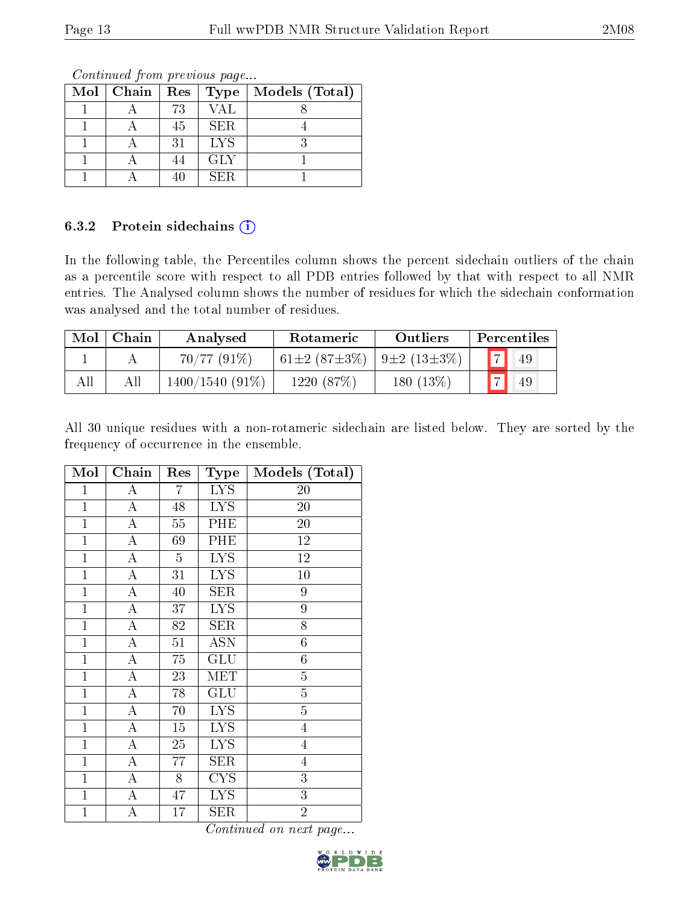| $Mol$   Chain | Res | Type <sup>1</sup> | Models (Total) |
|---------------|-----|-------------------|----------------|
|               | 73  | <b>VAL</b>        |                |
|               | 45  | <b>SER</b>        |                |
|               | 31  | <b>LYS</b>        |                |
|               |     | <b>GLY</b>        |                |
|               | 40  | SER               |                |

#### 6.3.2 Protein sidechains  $(i)$

In the following table, the Percentiles column shows the percent sidechain outliers of the chain as a percentile score with respect to all PDB entries followed by that with respect to all NMR entries. The Analysed column shows the number of residues for which the sidechain conformation was analysed and the total number of residues.

| Mol | Chain | Analysed          | Rotameric                  | <b>Outliers</b>   |                | Percentiles |
|-----|-------|-------------------|----------------------------|-------------------|----------------|-------------|
|     |       | $70/77(91\%)$     | 61 $\pm 2$ (87 $\pm 3\%$ ) | $9\pm2(13\pm3\%)$ | $\sqrt{2}$     | 49          |
|     | All   | $1400/1540(91\%)$ | 1220(87%)                  | 180 $(13\%)$      | $\overline{a}$ | 49          |

All 30 unique residues with a non-rotameric sidechain are listed below. They are sorted by the frequency of occurrence in the ensemble.

| Mol            | Chain              | Res             | Type                    | Models (Total)  |
|----------------|--------------------|-----------------|-------------------------|-----------------|
| $\mathbf{1}$   | A                  | 7               | <b>LYS</b>              | 20              |
| $\overline{1}$ | A                  | 48              | <b>LYS</b>              | 20              |
| $\mathbf{1}$   | A                  | 55              | PHE                     | 20              |
| $\mathbf{1}$   | $\boldsymbol{A}$   | 69              | PHE                     | 12              |
| $\mathbf{1}$   | A                  | $\overline{5}$  | $\overline{\text{LYS}}$ | $\overline{12}$ |
| $\mathbf{1}$   | $\boldsymbol{A}$   | 31              | <b>LYS</b>              | 10              |
| $\mathbf{1}$   | $\boldsymbol{A}$   | 40              | SER                     | 9               |
| $\mathbf{1}$   | $\overline{\rm A}$ | 37              | LYS                     | 9               |
| $\mathbf{1}$   | $\boldsymbol{A}$   | 82              | <b>SER</b>              | 8               |
| $\mathbf{1}$   | $\overline{\rm A}$ | $\overline{51}$ | $\overline{\text{ASN}}$ | $\overline{6}$  |
| $\mathbf{1}$   | $\boldsymbol{A}$   | 75              | <b>GLU</b>              | $\sqrt{6}$      |
| $\mathbf{1}$   | $\overline{\rm A}$ | 23              | MET                     | $\overline{5}$  |
| $\mathbf{1}$   | $\overline{A}$     | 78              | GLU                     | $\overline{5}$  |
| $\mathbf{1}$   | $\bf{A}$           | 70              | <b>LYS</b>              | $\overline{5}$  |
| $\mathbf{1}$   | A                  | 15              | <b>LYS</b>              | $\overline{4}$  |
| $\mathbf{1}$   | $\boldsymbol{A}$   | 25              | <b>LYS</b>              | $\overline{4}$  |
| $\mathbf{1}$   | $\overline{\rm A}$ | 77              | <b>SER</b>              | $\overline{4}$  |
| $\mathbf{1}$   | A                  | 8               | <b>CYS</b>              | $\overline{3}$  |
| $\mathbf{1}$   | A                  | 47              | <b>LYS</b>              | $\overline{3}$  |
| $\mathbf{1}$   | А                  | 17              | SER                     | $\overline{2}$  |

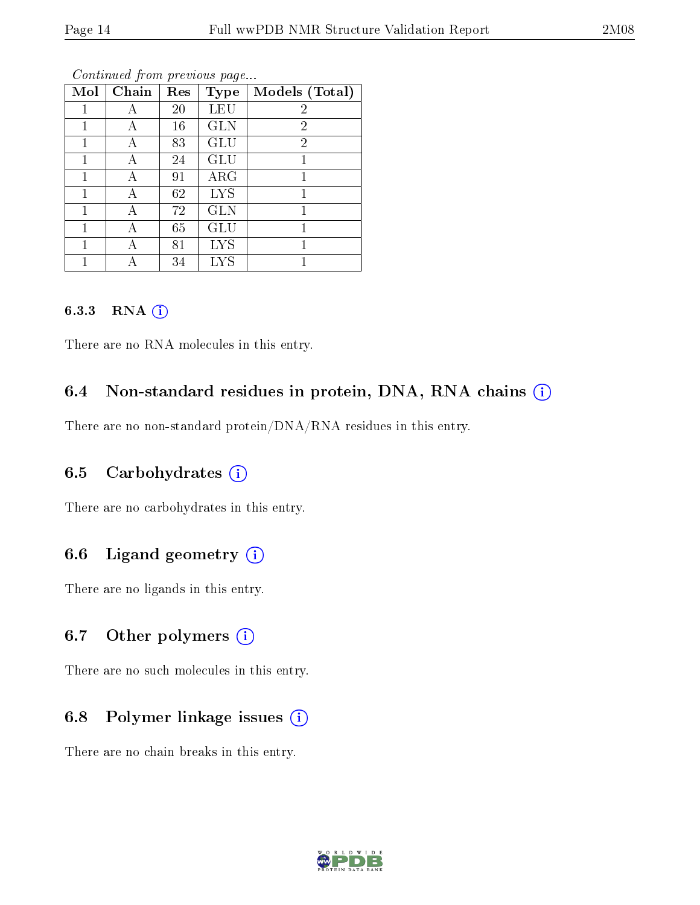| Mol | Chain | Res | <b>Type</b> | Models (Total) |
|-----|-------|-----|-------------|----------------|
|     | А     | 20  | LEU         | $\overline{2}$ |
| 1   | А     | 16  | <b>GLN</b>  | $\overline{2}$ |
|     | А     | 83  | GLU         | $\overline{2}$ |
| 1   | А     | 24  | <b>GLU</b>  | 1              |
|     | А     | 91  | $\rm{ARG}$  | 1              |
| 1   | А     | 62  | <b>LYS</b>  |                |
| 1   | А     | 72  | <b>GLN</b>  | 1              |
|     |       | 65  | GLU         |                |
|     | А     | 81  | <b>LYS</b>  |                |
|     |       | 34  | LYS         |                |

#### 6.3.3 RNA [O](https://www.wwpdb.org/validation/2017/NMRValidationReportHelp#rna)i

There are no RNA molecules in this entry.

## 6.4 Non-standard residues in protein, DNA, RNA chains (i)

There are no non-standard protein/DNA/RNA residues in this entry.

## 6.5 Carbohydrates  $(i)$

There are no carbohydrates in this entry.

## 6.6 Ligand geometry  $(i)$

There are no ligands in this entry.

#### 6.7 [O](https://www.wwpdb.org/validation/2017/NMRValidationReportHelp#nonstandard_residues_and_ligands)ther polymers  $(i)$

There are no such molecules in this entry.

## 6.8 Polymer linkage issues  $(i)$

There are no chain breaks in this entry.

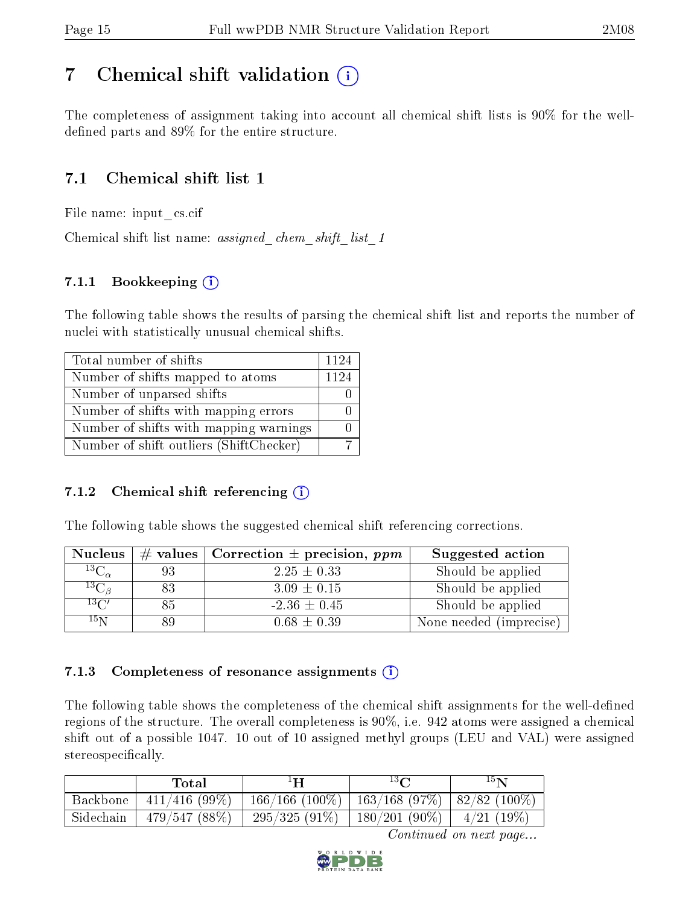# <span id="page-14-0"></span>7 Chemical shift validation  $\left( \begin{array}{c} \overline{\phantom{a}} \\ \overline{\phantom{a}} \end{array} \right)$

The completeness of assignment taking into account all chemical shift lists is 90% for the welldefined parts and  $89\%$  for the entire structure.

# 7.1 Chemical shift list 1

File name: input\_cs.cif

Chemical shift list name: *assigned\_chem\_shift\_list\_1* 

## 7.1.1 Bookkeeping (i)

The following table shows the results of parsing the chemical shift list and reports the number of nuclei with statistically unusual chemical shifts.

| Total number of shifts                  | 1124 |
|-----------------------------------------|------|
| Number of shifts mapped to atoms        | 1124 |
| Number of unparsed shifts               |      |
| Number of shifts with mapping errors    |      |
| Number of shifts with mapping warnings  |      |
| Number of shift outliers (ShiftChecker) |      |

#### 7.1.2 Chemical shift referencing  $(i)$

The following table shows the suggested chemical shift referencing corrections.

| <b>Nucleus</b>      |    | # values   Correction $\pm$ precision, ppm | Suggested action        |
|---------------------|----|--------------------------------------------|-------------------------|
| ${}^{13}C_{\alpha}$ | 93 | $2.25 \pm 0.33$                            | Should be applied       |
| ${}^{13}C_{\beta}$  | 83 | $3.09 \pm 0.15$                            | Should be applied       |
| $13\text{C}$        | 85 | $-2.36 \pm 0.45$                           | Should be applied       |
| $15\,\mathrm{N}$    |    | $0.68 \pm 0.39$                            | None needed (imprecise) |

#### 7.1.3 Completeness of resonance assignments  $(i)$

The following table shows the completeness of the chemical shift assignments for the well-defined regions of the structure. The overall completeness is 90%, i.e. 942 atoms were assigned a chemical shift out of a possible 1047. 10 out of 10 assigned methyl groups (LEU and VAL) were assigned stereospecifically.

|           | Total            | ŀН                                            | $13\Omega$                   | $15\mathbf{N}$ |
|-----------|------------------|-----------------------------------------------|------------------------------|----------------|
| Backbone  | $411/416$ (99\%) | 166/166 (100%)   163/168 (97%)   82/82 (100%) |                              |                |
| Sidechain | 479/547(88%)     | $295/325(91\%)$                               | 180/201 (90%)   $4/21$ (19%) |                |

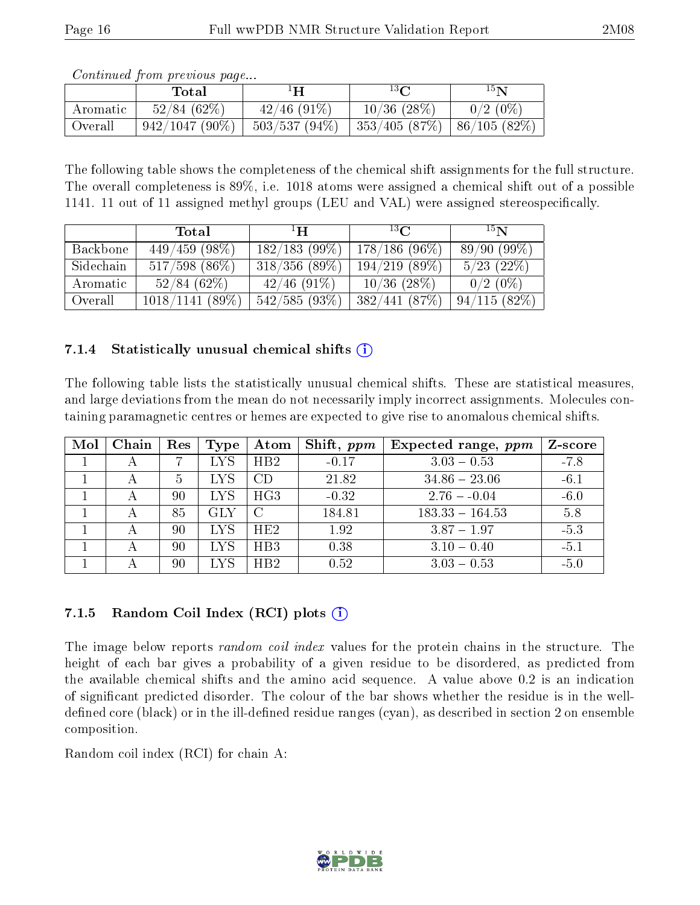|          | contentation provided to page<br>Total | ΙH              | $13\Omega$        | $^{15}{\rm N}$  |
|----------|----------------------------------------|-----------------|-------------------|-----------------|
| Aromatic | 52/84(62%)                             | $42/46$ (91\%)  | $10/36$ $(28\%)$  | $0/2(0\%)$      |
| Overall  | $942/1047(90\%)$                       | $503/537(94\%)$ | $ 353/405(87\%) $ | $ 86/105(82\%)$ |

The following table shows the completeness of the chemical shift assignments for the full structure. The overall completeness is 89%, i.e. 1018 atoms were assigned a chemical shift out of a possible 1141. 11 out of 11 assigned methyl groups (LEU and VAL) were assigned stereospecifically.

|           | Total             | $\mathbf{H}^1$   | $^{13}$ $\cap$  | 15 <sub>N</sub> |
|-----------|-------------------|------------------|-----------------|-----------------|
| Backbone  | $449/459$ (98\%)  | 182/183(99%)     | $178/186(96\%)$ | 89/90(99%)      |
| Sidechain | $517/598$ (86\%)  | $318/356$ (89\%) | 194/219(89%)    | $5/23$ $(22\%)$ |
| Aromatic  | 52/84(62%)        | $42/46$ (91\%)   | $10/36$ (28\%)  | $0/2$ (0\%)     |
| Overall   | $1018/1141(89\%)$ | 542/585(93%)     | 382/441(87%)    | 94/115(82%)     |

#### 7.1.4 Statistically unusual chemical shifts  $(i)$

The following table lists the statistically unusual chemical shifts. These are statistical measures, and large deviations from the mean do not necessarily imply incorrect assignments. Molecules containing paramagnetic centres or hemes are expected to give rise to anomalous chemical shifts.

| Mol | Chain | $\operatorname{Res}$ | Type       | Atom | Shift, $ppm$ | Expected range, $ppm$ | Z-score |
|-----|-------|----------------------|------------|------|--------------|-----------------------|---------|
|     |       |                      | <b>LYS</b> | HB2  | $-0.17$      | $3.03 - 0.53$         | $-7.8$  |
|     |       | 5                    | <b>LYS</b> | CD   | 21.82        | $34.86 - 23.06$       | $-6.1$  |
|     |       | 90                   | <b>LYS</b> | HG3  | $-0.32$      | $2.76 - 0.04$         | $-6.0$  |
|     |       | 85                   | <b>GLY</b> |      | 184.81       | $183.33 - 164.53$     | 5.8     |
|     |       | 90                   | <b>LYS</b> | HE2  | 1.92         | $3.87 - 1.97$         | $-5.3$  |
|     |       | 90                   | <b>LYS</b> | HB3  | 0.38         | $3.10 - 0.40$         | $-5.1$  |
|     |       | 90                   | LYS        | HB2  | 0.52         | $3.03 - 0.53$         | $-5.0$  |

## 7.1.5 Random Coil Index  $(RCI)$  plots  $(i)$

The image below reports *random coil index* values for the protein chains in the structure. The height of each bar gives a probability of a given residue to be disordered, as predicted from the available chemical shifts and the amino acid sequence. A value above 0.2 is an indication of signicant predicted disorder. The colour of the bar shows whether the residue is in the welldefined core (black) or in the ill-defined residue ranges (cyan), as described in section 2 on ensemble composition.

Random coil index (RCI) for chain A: